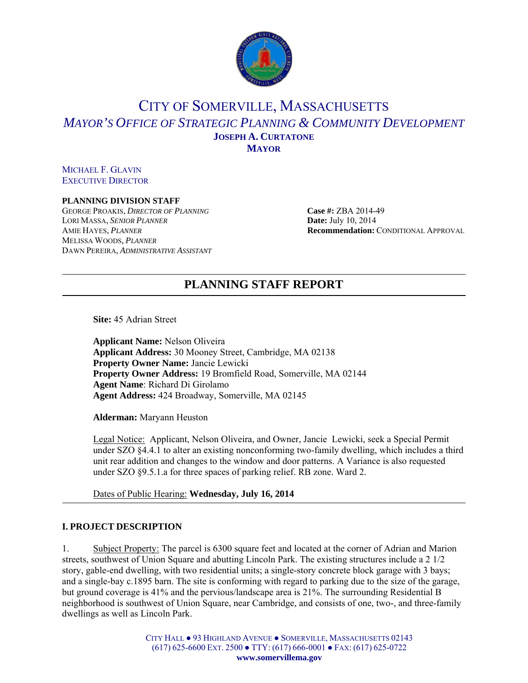

# CITY OF SOMERVILLE, MASSACHUSETTS *MAYOR'S OFFICE OF STRATEGIC PLANNING & COMMUNITY DEVELOPMENT* **JOSEPH A. CURTATONE MAYOR**

MICHAEL F. GLAVIN EXECUTIVE DIRECTOR

#### **PLANNING DIVISION STAFF**

GEORGE PROAKIS, *DIRECTOR OF PLANNING* Case #: ZBA 2014-49 LORI MASSA, *SENIOR PLANNER* **Date:** July 10, 2014 MELISSA WOODS*, PLANNER* DAWN PEREIRA, *ADMINISTRATIVE ASSISTANT*

AMIE HAYES, *PLANNER* **Recommendation:** CONDITIONAL APPROVAL

# **PLANNING STAFF REPORT**

**Site:** 45 Adrian Street

**Applicant Name:** Nelson Oliveira **Applicant Address:** 30 Mooney Street, Cambridge, MA 02138 **Property Owner Name:** Jancie Lewicki **Property Owner Address:** 19 Bromfield Road, Somerville, MA 02144 **Agent Name**: Richard Di Girolamo **Agent Address:** 424 Broadway, Somerville, MA 02145

**Alderman:** Maryann Heuston

Legal Notice: Applicant, Nelson Oliveira, and Owner, Jancie Lewicki, seek a Special Permit under SZO §4.4.1 to alter an existing nonconforming two-family dwelling, which includes a third unit rear addition and changes to the window and door patterns. A Variance is also requested under SZO §9.5.1.a for three spaces of parking relief. RB zone. Ward 2.

Dates of Public Hearing: **Wednesday, July 16, 2014**

### **I. PROJECT DESCRIPTION**

1. Subject Property: The parcel is 6300 square feet and located at the corner of Adrian and Marion streets, southwest of Union Square and abutting Lincoln Park. The existing structures include a 2 1/2 story, gable-end dwelling, with two residential units; a single-story concrete block garage with 3 bays; and a single-bay c.1895 barn. The site is conforming with regard to parking due to the size of the garage, but ground coverage is 41% and the pervious/landscape area is 21%. The surrounding Residential B neighborhood is southwest of Union Square, near Cambridge, and consists of one, two-, and three-family dwellings as well as Lincoln Park.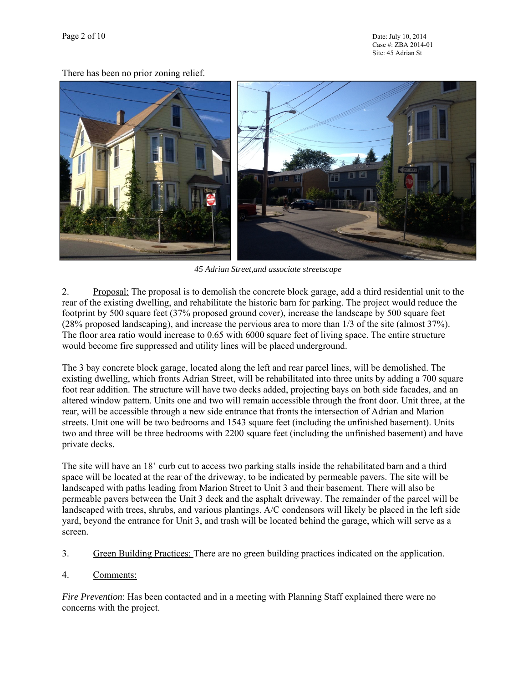There has been no prior zoning relief.



*45 Adrian Street,and associate streetscape* 

2. Proposal: The proposal is to demolish the concrete block garage, add a third residential unit to the rear of the existing dwelling, and rehabilitate the historic barn for parking. The project would reduce the footprint by 500 square feet (37% proposed ground cover), increase the landscape by 500 square feet (28% proposed landscaping), and increase the pervious area to more than 1/3 of the site (almost 37%). The floor area ratio would increase to 0.65 with 6000 square feet of living space. The entire structure would become fire suppressed and utility lines will be placed underground.

The 3 bay concrete block garage, located along the left and rear parcel lines, will be demolished. The existing dwelling, which fronts Adrian Street, will be rehabilitated into three units by adding a 700 square foot rear addition. The structure will have two decks added, projecting bays on both side facades, and an altered window pattern. Units one and two will remain accessible through the front door. Unit three, at the rear, will be accessible through a new side entrance that fronts the intersection of Adrian and Marion streets. Unit one will be two bedrooms and 1543 square feet (including the unfinished basement). Units two and three will be three bedrooms with 2200 square feet (including the unfinished basement) and have private decks.

The site will have an 18' curb cut to access two parking stalls inside the rehabilitated barn and a third space will be located at the rear of the driveway, to be indicated by permeable pavers. The site will be landscaped with paths leading from Marion Street to Unit 3 and their basement. There will also be permeable pavers between the Unit 3 deck and the asphalt driveway. The remainder of the parcel will be landscaped with trees, shrubs, and various plantings. A/C condensors will likely be placed in the left side yard, beyond the entrance for Unit 3, and trash will be located behind the garage, which will serve as a screen.

- 3. Green Building Practices: There are no green building practices indicated on the application.
- 4. Comments:

*Fire Prevention*: Has been contacted and in a meeting with Planning Staff explained there were no concerns with the project.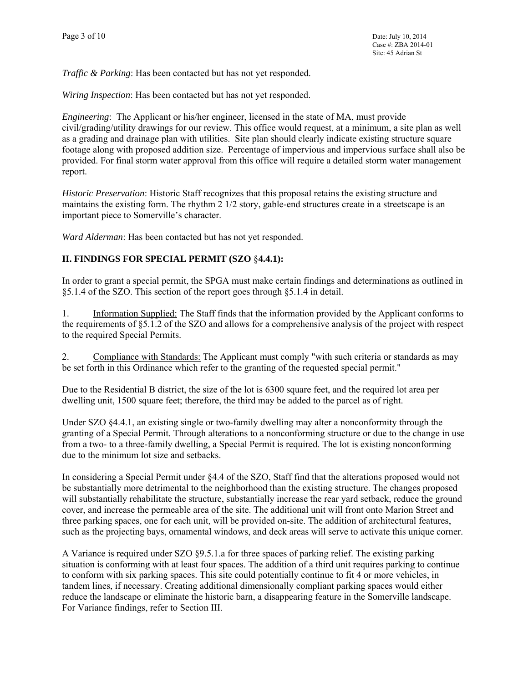*Traffic & Parking*: Has been contacted but has not yet responded.

*Wiring Inspection*: Has been contacted but has not yet responded.

*Engineering*: The Applicant or his/her engineer, licensed in the state of MA, must provide civil/grading/utility drawings for our review. This office would request, at a minimum, a site plan as well as a grading and drainage plan with utilities. Site plan should clearly indicate existing structure square footage along with proposed addition size. Percentage of impervious and impervious surface shall also be provided. For final storm water approval from this office will require a detailed storm water management report.

*Historic Preservation*: Historic Staff recognizes that this proposal retains the existing structure and maintains the existing form. The rhythm 2 1/2 story, gable-end structures create in a streetscape is an important piece to Somerville's character.

*Ward Alderman*: Has been contacted but has not yet responded.

## **II. FINDINGS FOR SPECIAL PERMIT (SZO** §**4.4.1):**

In order to grant a special permit, the SPGA must make certain findings and determinations as outlined in §5.1.4 of the SZO. This section of the report goes through §5.1.4 in detail.

1. Information Supplied: The Staff finds that the information provided by the Applicant conforms to the requirements of §5.1.2 of the SZO and allows for a comprehensive analysis of the project with respect to the required Special Permits.

2. Compliance with Standards: The Applicant must comply "with such criteria or standards as may be set forth in this Ordinance which refer to the granting of the requested special permit."

Due to the Residential B district, the size of the lot is 6300 square feet, and the required lot area per dwelling unit, 1500 square feet; therefore, the third may be added to the parcel as of right.

Under SZO §4.4.1, an existing single or two-family dwelling may alter a nonconformity through the granting of a Special Permit. Through alterations to a nonconforming structure or due to the change in use from a two- to a three-family dwelling, a Special Permit is required. The lot is existing nonconforming due to the minimum lot size and setbacks.

In considering a Special Permit under §4.4 of the SZO, Staff find that the alterations proposed would not be substantially more detrimental to the neighborhood than the existing structure. The changes proposed will substantially rehabilitate the structure, substantially increase the rear yard setback, reduce the ground cover, and increase the permeable area of the site. The additional unit will front onto Marion Street and three parking spaces, one for each unit, will be provided on-site. The addition of architectural features, such as the projecting bays, ornamental windows, and deck areas will serve to activate this unique corner.

A Variance is required under SZO §9.5.1.a for three spaces of parking relief. The existing parking situation is conforming with at least four spaces. The addition of a third unit requires parking to continue to conform with six parking spaces. This site could potentially continue to fit 4 or more vehicles, in tandem lines, if necessary. Creating additional dimensionally compliant parking spaces would either reduce the landscape or eliminate the historic barn, a disappearing feature in the Somerville landscape. For Variance findings, refer to Section III.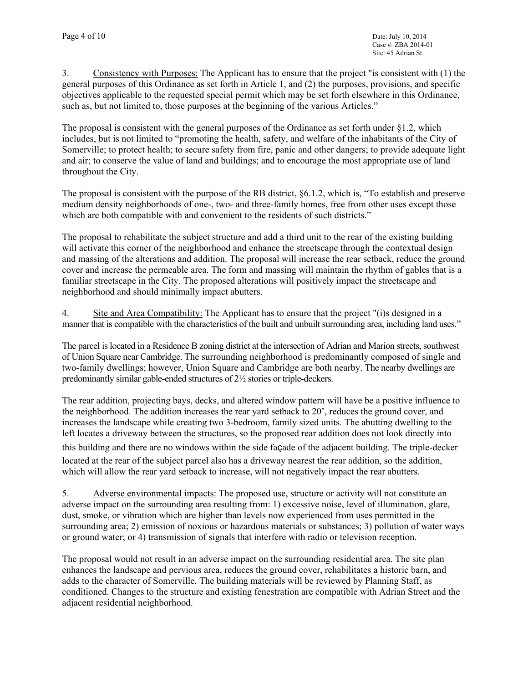3. Consistency with Purposes: The Applicant has to ensure that the project "is consistent with (1) the general purposes of this Ordinance as set forth in Article 1, and (2) the purposes, provisions, and specific objectives applicable to the requested special permit which may be set forth elsewhere in this Ordinance, such as, but not limited to, those purposes at the beginning of the various Articles."

The proposal is consistent with the general purposes of the Ordinance as set forth under §1.2, which includes, but is not limited to "promoting the health, safety, and welfare of the inhabitants of the City of Somerville; to protect health; to secure safety from fire, panic and other dangers; to provide adequate light and air; to conserve the value of land and buildings; and to encourage the most appropriate use of land throughout the City.

The proposal is consistent with the purpose of the RB district, §6.1.2, which is, "To establish and preserve medium density neighborhoods of one-, two- and three-family homes, free from other uses except those which are both compatible with and convenient to the residents of such districts."

The proposal to rehabilitate the subject structure and add a third unit to the rear of the existing building will activate this corner of the neighborhood and enhance the streetscape through the contextual design and massing of the alterations and addition. The proposal will increase the rear setback, reduce the ground cover and increase the permeable area. The form and massing will maintain the rhythm of gables that is a familiar streetscape in the City. The proposed alterations will positively impact the streetscape and neighborhood and should minimally impact abutters.

4. Site and Area Compatibility: The Applicant has to ensure that the project "(i)s designed in a manner that is compatible with the characteristics of the built and unbuilt surrounding area, including land uses."

The parcel is located in a Residence B zoning district at the intersection of Adrian and Marion streets, southwest of Union Square near Cambridge. The surrounding neighborhood is predominantly composed of single and two-family dwellings; however, Union Square and Cambridge are both nearby. The nearby dwellings are predominantly similar gable-ended structures of 2½ stories or triple-deckers.

The rear addition, projecting bays, decks, and altered window pattern will have be a positive influence to the neighborhood. The addition increases the rear yard setback to 20', reduces the ground cover, and increases the landscape while creating two 3-bedroom, family sized units. The abutting dwelling to the left locates a driveway between the structures, so the proposed rear addition does not look directly into this building and there are no windows within the side façade of the adjacent building. The triple-decker located at the rear of the subject parcel also has a driveway nearest the rear addition, so the addition, which will allow the rear yard setback to increase, will not negatively impact the rear abutters.

5. Adverse environmental impacts: The proposed use, structure or activity will not constitute an adverse impact on the surrounding area resulting from: 1) excessive noise, level of illumination, glare, dust, smoke, or vibration which are higher than levels now experienced from uses permitted in the surrounding area; 2) emission of noxious or hazardous materials or substances; 3) pollution of water ways or ground water; or 4) transmission of signals that interfere with radio or television reception.

The proposal would not result in an adverse impact on the surrounding residential area. The site plan enhances the landscape and pervious area, reduces the ground cover, rehabilitates a historic barn, and adds to the character of Somerville. The building materials will be reviewed by Planning Staff, as conditioned. Changes to the structure and existing fenestration are compatible with Adrian Street and the adjacent residential neighborhood.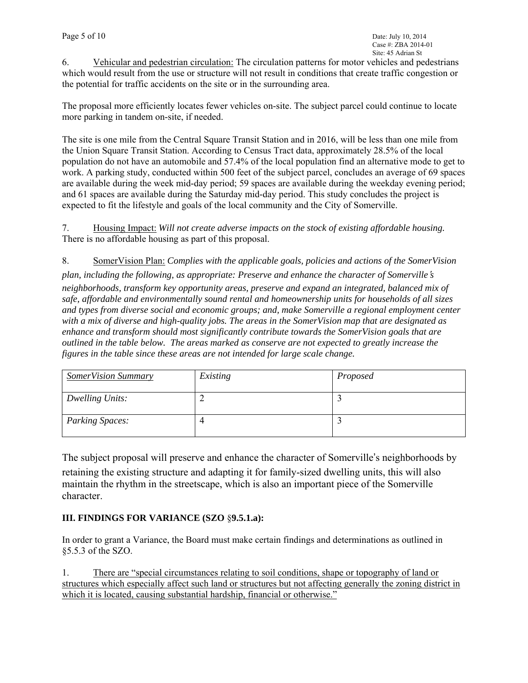6. Vehicular and pedestrian circulation: The circulation patterns for motor vehicles and pedestrians which would result from the use or structure will not result in conditions that create traffic congestion or the potential for traffic accidents on the site or in the surrounding area.

The proposal more efficiently locates fewer vehicles on-site. The subject parcel could continue to locate more parking in tandem on-site, if needed.

The site is one mile from the Central Square Transit Station and in 2016, will be less than one mile from the Union Square Transit Station. According to Census Tract data, approximately 28.5% of the local population do not have an automobile and 57.4% of the local population find an alternative mode to get to work. A parking study, conducted within 500 feet of the subject parcel, concludes an average of 69 spaces are available during the week mid-day period; 59 spaces are available during the weekday evening period; and 61 spaces are available during the Saturday mid-day period. This study concludes the project is expected to fit the lifestyle and goals of the local community and the City of Somerville.

7. Housing Impact: *Will not create adverse impacts on the stock of existing affordable housing.* There is no affordable housing as part of this proposal.

8. SomerVision Plan: *Complies with the applicable goals, policies and actions of the SomerVision plan, including the following, as appropriate: Preserve and enhance the character of Somerville*'*s neighborhoods, transform key opportunity areas, preserve and expand an integrated, balanced mix of safe, affordable and environmentally sound rental and homeownership units for households of all sizes and types from diverse social and economic groups; and, make Somerville a regional employment center with a mix of diverse and high-quality jobs. The areas in the SomerVision map that are designated as enhance and transform should most significantly contribute towards the SomerVision goals that are outlined in the table below. The areas marked as conserve are not expected to greatly increase the figures in the table since these areas are not intended for large scale change.* 

| <b>SomerVision Summary</b> | Existing | Proposed |
|----------------------------|----------|----------|
| Dwelling Units:            |          |          |
| <b>Parking Spaces:</b>     |          |          |

The subject proposal will preserve and enhance the character of Somerville's neighborhoods by retaining the existing structure and adapting it for family-sized dwelling units, this will also maintain the rhythm in the streetscape, which is also an important piece of the Somerville character.

## **III. FINDINGS FOR VARIANCE (SZO** §**9.5.1.a):**

In order to grant a Variance, the Board must make certain findings and determinations as outlined in §5.5.3 of the SZO.

1. There are "special circumstances relating to soil conditions, shape or topography of land or structures which especially affect such land or structures but not affecting generally the zoning district in which it is located, causing substantial hardship, financial or otherwise."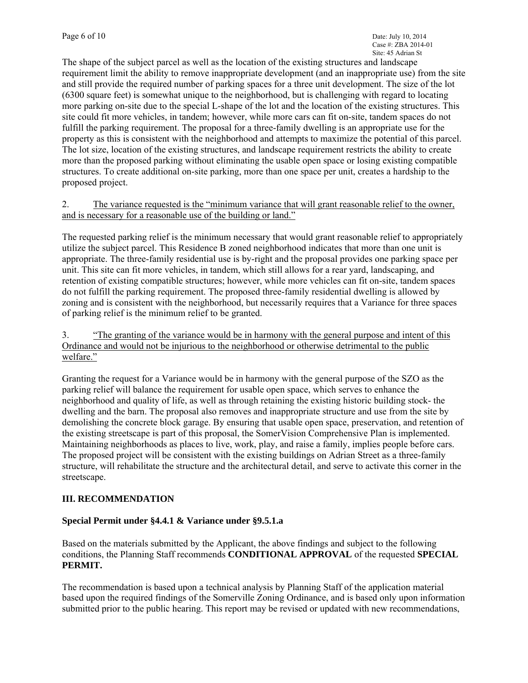The shape of the subject parcel as well as the location of the existing structures and landscape requirement limit the ability to remove inappropriate development (and an inappropriate use) from the site and still provide the required number of parking spaces for a three unit development. The size of the lot (6300 square feet) is somewhat unique to the neighborhood, but is challenging with regard to locating more parking on-site due to the special L-shape of the lot and the location of the existing structures. This site could fit more vehicles, in tandem; however, while more cars can fit on-site, tandem spaces do not fulfill the parking requirement. The proposal for a three-family dwelling is an appropriate use for the property as this is consistent with the neighborhood and attempts to maximize the potential of this parcel. The lot size, location of the existing structures, and landscape requirement restricts the ability to create more than the proposed parking without eliminating the usable open space or losing existing compatible structures. To create additional on-site parking, more than one space per unit, creates a hardship to the proposed project.

2. The variance requested is the "minimum variance that will grant reasonable relief to the owner, and is necessary for a reasonable use of the building or land."

The requested parking relief is the minimum necessary that would grant reasonable relief to appropriately utilize the subject parcel. This Residence B zoned neighborhood indicates that more than one unit is appropriate. The three-family residential use is by-right and the proposal provides one parking space per unit. This site can fit more vehicles, in tandem, which still allows for a rear yard, landscaping, and retention of existing compatible structures; however, while more vehicles can fit on-site, tandem spaces do not fulfill the parking requirement. The proposed three-family residential dwelling is allowed by zoning and is consistent with the neighborhood, but necessarily requires that a Variance for three spaces of parking relief is the minimum relief to be granted.

3. "The granting of the variance would be in harmony with the general purpose and intent of this Ordinance and would not be injurious to the neighborhood or otherwise detrimental to the public welfare."

Granting the request for a Variance would be in harmony with the general purpose of the SZO as the parking relief will balance the requirement for usable open space, which serves to enhance the neighborhood and quality of life, as well as through retaining the existing historic building stock- the dwelling and the barn. The proposal also removes and inappropriate structure and use from the site by demolishing the concrete block garage. By ensuring that usable open space, preservation, and retention of the existing streetscape is part of this proposal, the SomerVision Comprehensive Plan is implemented. Maintaining neighborhoods as places to live, work, play, and raise a family, implies people before cars. The proposed project will be consistent with the existing buildings on Adrian Street as a three-family structure, will rehabilitate the structure and the architectural detail, and serve to activate this corner in the streetscape.

### **III. RECOMMENDATION**

### **Special Permit under §4.4.1 & Variance under §9.5.1.a**

Based on the materials submitted by the Applicant, the above findings and subject to the following conditions, the Planning Staff recommends **CONDITIONAL APPROVAL** of the requested **SPECIAL PERMIT.** 

The recommendation is based upon a technical analysis by Planning Staff of the application material based upon the required findings of the Somerville Zoning Ordinance, and is based only upon information submitted prior to the public hearing. This report may be revised or updated with new recommendations,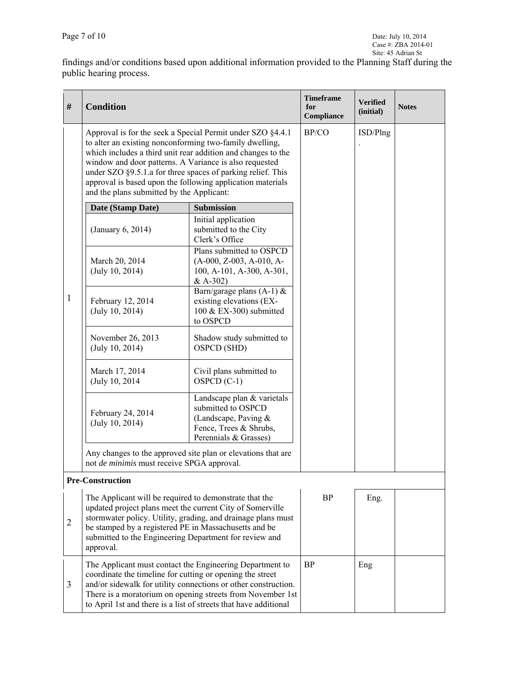findings and/or conditions based upon additional information provided to the Planning Staff during the public hearing process.

| $\#$ | <b>Condition</b>                                                                                                                                                                                                                                                                                                                                                                                                          |                                                                                                                                                                                          | <b>Timeframe</b><br>for<br>Compliance | <b>Verified</b><br>(initial) | <b>Notes</b> |
|------|---------------------------------------------------------------------------------------------------------------------------------------------------------------------------------------------------------------------------------------------------------------------------------------------------------------------------------------------------------------------------------------------------------------------------|------------------------------------------------------------------------------------------------------------------------------------------------------------------------------------------|---------------------------------------|------------------------------|--------------|
|      | Approval is for the seek a Special Permit under SZO §4.4.1<br>to alter an existing nonconforming two-family dwelling,<br>which includes a third unit rear addition and changes to the<br>window and door patterns. A Variance is also requested<br>under SZO §9.5.1.a for three spaces of parking relief. This<br>approval is based upon the following application materials<br>and the plans submitted by the Applicant: | BP/CO                                                                                                                                                                                    | ISD/Plng                              |                              |              |
|      | Date (Stamp Date)                                                                                                                                                                                                                                                                                                                                                                                                         | <b>Submission</b>                                                                                                                                                                        |                                       |                              |              |
|      | (January 6, 2014)                                                                                                                                                                                                                                                                                                                                                                                                         | Initial application<br>submitted to the City<br>Clerk's Office                                                                                                                           |                                       |                              |              |
|      | March 20, 2014<br>(July 10, 2014)                                                                                                                                                                                                                                                                                                                                                                                         | Plans submitted to OSPCD<br>$(A-000, Z-003, A-010, A-$<br>100, A-101, A-300, A-301,<br>$& A-302)$                                                                                        |                                       |                              |              |
| 1    | February 12, 2014<br>(July 10, 2014)                                                                                                                                                                                                                                                                                                                                                                                      | Barn/garage plans $(A-1)$ &<br>existing elevations (EX-<br>100 & EX-300) submitted<br>to OSPCD                                                                                           |                                       |                              |              |
|      | November 26, 2013<br>(July 10, 2014)                                                                                                                                                                                                                                                                                                                                                                                      | Shadow study submitted to<br>OSPCD (SHD)                                                                                                                                                 |                                       |                              |              |
|      | March 17, 2014<br>(July 10, 2014)                                                                                                                                                                                                                                                                                                                                                                                         | Civil plans submitted to<br>$OSPCD (C-1)$                                                                                                                                                |                                       |                              |              |
|      | February 24, 2014<br>(July 10, 2014)                                                                                                                                                                                                                                                                                                                                                                                      | Landscape plan & varietals<br>submitted to OSPCD<br>(Landscape, Paving $&$<br>Fence, Trees & Shrubs,<br>Perennials & Grasses)                                                            |                                       |                              |              |
|      | not de minimis must receive SPGA approval.                                                                                                                                                                                                                                                                                                                                                                                | Any changes to the approved site plan or elevations that are                                                                                                                             |                                       |                              |              |
|      | <b>Pre-Construction</b>                                                                                                                                                                                                                                                                                                                                                                                                   |                                                                                                                                                                                          |                                       |                              |              |
| 2    | The Applicant will be required to demonstrate that the<br>updated project plans meet the current City of Somerville<br>stormwater policy. Utility, grading, and drainage plans must<br>be stamped by a registered PE in Massachusetts and be<br>submitted to the Engineering Department for review and<br>approval.                                                                                                       |                                                                                                                                                                                          | <b>BP</b>                             | Eng.                         |              |
| 3    | coordinate the timeline for cutting or opening the street<br>to April 1st and there is a list of streets that have additional                                                                                                                                                                                                                                                                                             | The Applicant must contact the Engineering Department to<br>and/or sidewalk for utility connections or other construction.<br>There is a moratorium on opening streets from November 1st | <b>BP</b>                             | Eng                          |              |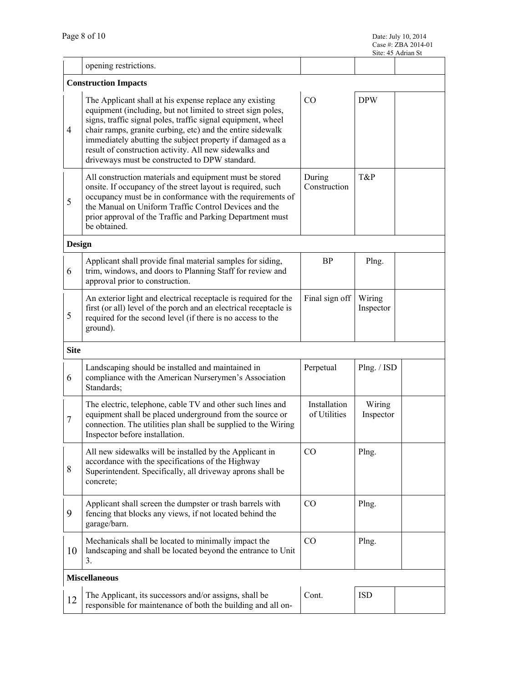|                |                                                                                                                                                                                                                                                                                                                                                                                                                               |                              |                     | Site: 45 Adrian St |  |  |
|----------------|-------------------------------------------------------------------------------------------------------------------------------------------------------------------------------------------------------------------------------------------------------------------------------------------------------------------------------------------------------------------------------------------------------------------------------|------------------------------|---------------------|--------------------|--|--|
|                | opening restrictions.                                                                                                                                                                                                                                                                                                                                                                                                         |                              |                     |                    |  |  |
|                | <b>Construction Impacts</b>                                                                                                                                                                                                                                                                                                                                                                                                   |                              |                     |                    |  |  |
| $\overline{4}$ | The Applicant shall at his expense replace any existing<br>equipment (including, but not limited to street sign poles,<br>signs, traffic signal poles, traffic signal equipment, wheel<br>chair ramps, granite curbing, etc) and the entire sidewalk<br>immediately abutting the subject property if damaged as a<br>result of construction activity. All new sidewalks and<br>driveways must be constructed to DPW standard. | CO                           | <b>DPW</b>          |                    |  |  |
| 5              | All construction materials and equipment must be stored<br>onsite. If occupancy of the street layout is required, such<br>occupancy must be in conformance with the requirements of<br>the Manual on Uniform Traffic Control Devices and the<br>prior approval of the Traffic and Parking Department must<br>be obtained.                                                                                                     | During<br>Construction       | T&P                 |                    |  |  |
| <b>Design</b>  |                                                                                                                                                                                                                                                                                                                                                                                                                               |                              |                     |                    |  |  |
| 6              | Applicant shall provide final material samples for siding,<br>trim, windows, and doors to Planning Staff for review and<br>approval prior to construction.                                                                                                                                                                                                                                                                    | <b>BP</b>                    | Plng.               |                    |  |  |
| 5              | An exterior light and electrical receptacle is required for the<br>first (or all) level of the porch and an electrical receptacle is<br>required for the second level (if there is no access to the<br>ground).                                                                                                                                                                                                               | Final sign off               | Wiring<br>Inspector |                    |  |  |
| <b>Site</b>    |                                                                                                                                                                                                                                                                                                                                                                                                                               |                              |                     |                    |  |  |
| 6              | Landscaping should be installed and maintained in<br>compliance with the American Nurserymen's Association<br>Standards;                                                                                                                                                                                                                                                                                                      | Perpetual                    | Plng. / ISD         |                    |  |  |
| $\overline{7}$ | The electric, telephone, cable TV and other such lines and<br>equipment shall be placed underground from the source or<br>connection. The utilities plan shall be supplied to the Wiring<br>Inspector before installation.                                                                                                                                                                                                    | Installation<br>of Utilities | Wiring<br>Inspector |                    |  |  |
| 8              | All new sidewalks will be installed by the Applicant in<br>accordance with the specifications of the Highway<br>Superintendent. Specifically, all driveway aprons shall be<br>concrete;                                                                                                                                                                                                                                       | CO                           | Plng.               |                    |  |  |
| 9              | Applicant shall screen the dumpster or trash barrels with<br>fencing that blocks any views, if not located behind the<br>garage/barn.                                                                                                                                                                                                                                                                                         | CO                           | Plng.               |                    |  |  |
| 10             | Mechanicals shall be located to minimally impact the<br>landscaping and shall be located beyond the entrance to Unit<br>3.                                                                                                                                                                                                                                                                                                    | CO                           | Plng.               |                    |  |  |
|                | <b>Miscellaneous</b>                                                                                                                                                                                                                                                                                                                                                                                                          |                              |                     |                    |  |  |
| 12             | The Applicant, its successors and/or assigns, shall be<br>responsible for maintenance of both the building and all on-                                                                                                                                                                                                                                                                                                        | Cont.                        | <b>ISD</b>          |                    |  |  |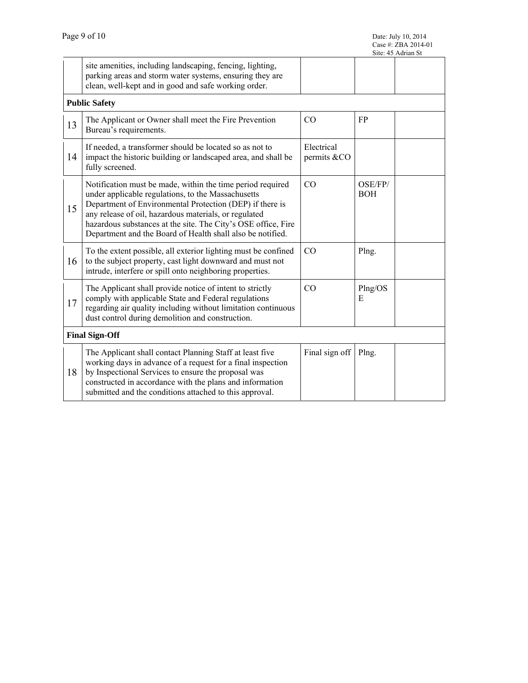|    |                                                                                                                                                                                                                                                                                                                                                                      |                           |                       | Case #: ZBA 2014-01<br>Site: 45 Adrian St |  |
|----|----------------------------------------------------------------------------------------------------------------------------------------------------------------------------------------------------------------------------------------------------------------------------------------------------------------------------------------------------------------------|---------------------------|-----------------------|-------------------------------------------|--|
|    | site amenities, including landscaping, fencing, lighting,<br>parking areas and storm water systems, ensuring they are<br>clean, well-kept and in good and safe working order.                                                                                                                                                                                        |                           |                       |                                           |  |
|    | <b>Public Safety</b>                                                                                                                                                                                                                                                                                                                                                 |                           |                       |                                           |  |
| 13 | The Applicant or Owner shall meet the Fire Prevention<br>Bureau's requirements.                                                                                                                                                                                                                                                                                      | CO                        | FP                    |                                           |  |
| 14 | If needed, a transformer should be located so as not to<br>impact the historic building or landscaped area, and shall be<br>fully screened.                                                                                                                                                                                                                          | Electrical<br>permits &CO |                       |                                           |  |
| 15 | Notification must be made, within the time period required<br>under applicable regulations, to the Massachusetts<br>Department of Environmental Protection (DEP) if there is<br>any release of oil, hazardous materials, or regulated<br>hazardous substances at the site. The City's OSE office, Fire<br>Department and the Board of Health shall also be notified. | CO                        | OSE/FP/<br><b>BOH</b> |                                           |  |
| 16 | To the extent possible, all exterior lighting must be confined<br>to the subject property, cast light downward and must not<br>intrude, interfere or spill onto neighboring properties.                                                                                                                                                                              | CO                        | Plng.                 |                                           |  |
| 17 | The Applicant shall provide notice of intent to strictly<br>comply with applicable State and Federal regulations<br>regarding air quality including without limitation continuous<br>dust control during demolition and construction.                                                                                                                                | CO                        | Plng/OS<br>Е          |                                           |  |
|    | <b>Final Sign-Off</b>                                                                                                                                                                                                                                                                                                                                                |                           |                       |                                           |  |
| 18 | The Applicant shall contact Planning Staff at least five<br>working days in advance of a request for a final inspection<br>by Inspectional Services to ensure the proposal was<br>constructed in accordance with the plans and information<br>submitted and the conditions attached to this approval.                                                                | Final sign off            | Plng.                 |                                           |  |